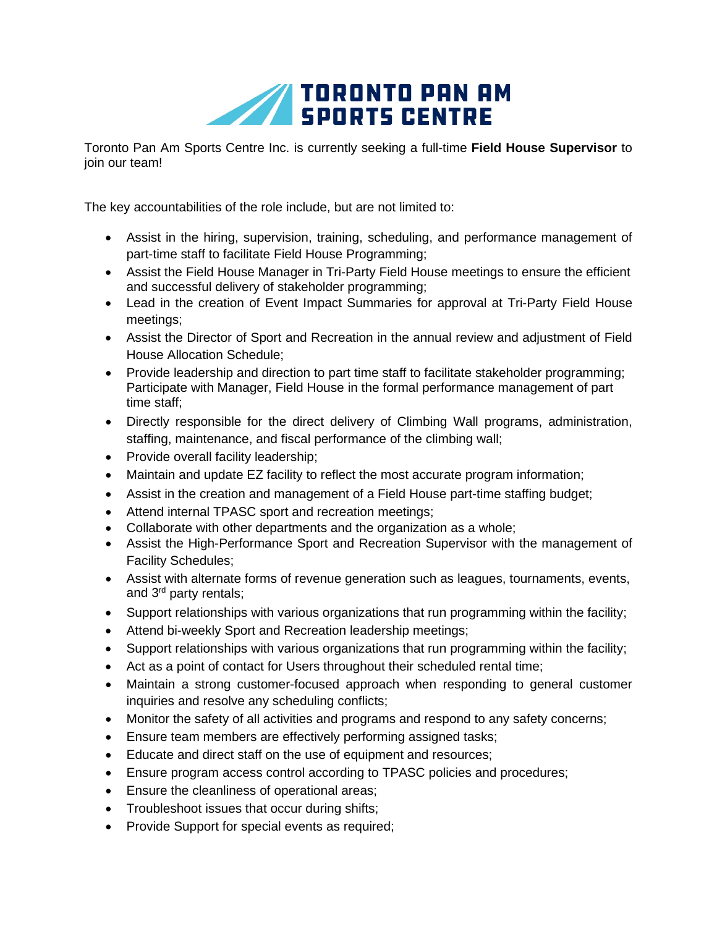

Toronto Pan Am Sports Centre Inc. is currently seeking a full-time **Field House Supervisor** to join our team!

The key accountabilities of the role include, but are not limited to:

- Assist in the hiring, supervision, training, scheduling, and performance management of part-time staff to facilitate Field House Programming;
- Assist the Field House Manager in Tri-Party Field House meetings to ensure the efficient and successful delivery of stakeholder programming;
- Lead in the creation of Event Impact Summaries for approval at Tri-Party Field House meetings;
- Assist the Director of Sport and Recreation in the annual review and adjustment of Field House Allocation Schedule;
- Provide leadership and direction to part time staff to facilitate stakeholder programming; Participate with Manager, Field House in the formal performance management of part time staff;
- Directly responsible for the direct delivery of Climbing Wall programs, administration, staffing, maintenance, and fiscal performance of the climbing wall;
- Provide overall facility leadership;
- Maintain and update EZ facility to reflect the most accurate program information;
- Assist in the creation and management of a Field House part-time staffing budget;
- Attend internal TPASC sport and recreation meetings;
- Collaborate with other departments and the organization as a whole;
- Assist the High-Performance Sport and Recreation Supervisor with the management of Facility Schedules;
- Assist with alternate forms of revenue generation such as leagues, tournaments, events, and 3rd party rentals;
- Support relationships with various organizations that run programming within the facility;
- Attend bi-weekly Sport and Recreation leadership meetings;
- Support relationships with various organizations that run programming within the facility;
- Act as a point of contact for Users throughout their scheduled rental time;
- Maintain a strong customer-focused approach when responding to general customer inquiries and resolve any scheduling conflicts;
- Monitor the safety of all activities and programs and respond to any safety concerns;
- Ensure team members are effectively performing assigned tasks;
- Educate and direct staff on the use of equipment and resources;
- Ensure program access control according to TPASC policies and procedures;
- Ensure the cleanliness of operational areas;
- Troubleshoot issues that occur during shifts;
- Provide Support for special events as required;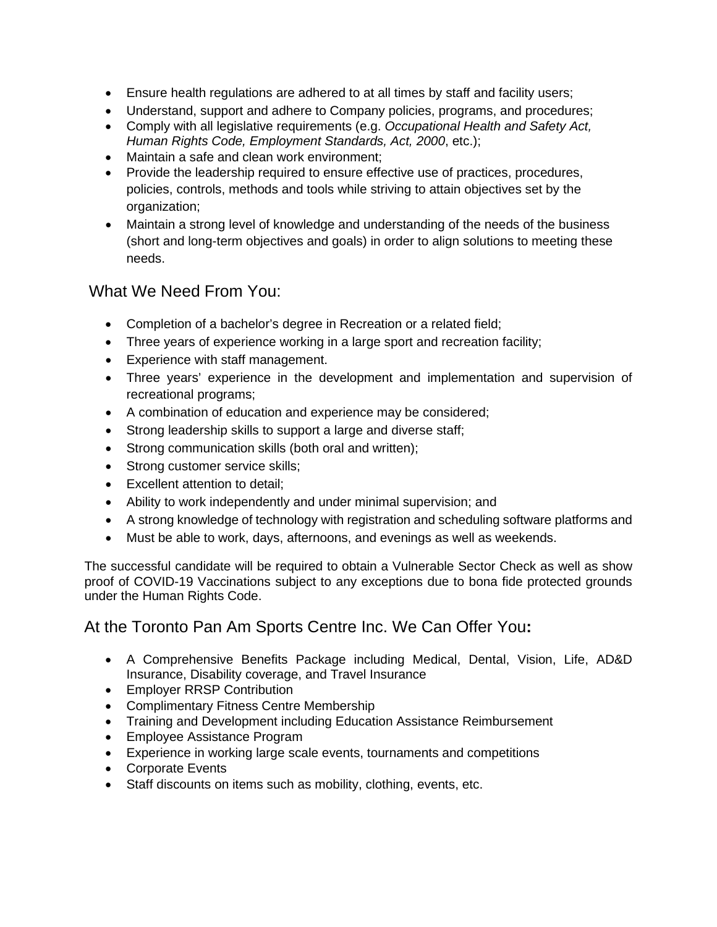- Ensure health regulations are adhered to at all times by staff and facility users;
- Understand, support and adhere to Company policies, programs, and procedures;
- Comply with all legislative requirements (e.g. *Occupational Health and Safety Act, Human Rights Code, Employment Standards, Act, 2000*, etc.);
- Maintain a safe and clean work environment;
- Provide the leadership required to ensure effective use of practices, procedures, policies, controls, methods and tools while striving to attain objectives set by the organization;
- Maintain a strong level of knowledge and understanding of the needs of the business (short and long-term objectives and goals) in order to align solutions to meeting these needs.

## What We Need From You:

- Completion of a bachelor's degree in Recreation or a related field;
- Three years of experience working in a large sport and recreation facility;
- Experience with staff management.
- Three years' experience in the development and implementation and supervision of recreational programs;
- A combination of education and experience may be considered;
- Strong leadership skills to support a large and diverse staff;
- Strong communication skills (both oral and written);
- Strong customer service skills;
- Excellent attention to detail;
- Ability to work independently and under minimal supervision; and
- A strong knowledge of technology with registration and scheduling software platforms and
- Must be able to work, days, afternoons, and evenings as well as weekends.

The successful candidate will be required to obtain a Vulnerable Sector Check as well as show proof of COVID-19 Vaccinations subject to any exceptions due to bona fide protected grounds under the Human Rights Code.

## At the Toronto Pan Am Sports Centre Inc. We Can Offer You**:**

- A Comprehensive Benefits Package including Medical, Dental, Vision, Life, AD&D Insurance, Disability coverage, and Travel Insurance
- Employer RRSP Contribution
- Complimentary Fitness Centre Membership
- Training and Development including Education Assistance Reimbursement
- Employee Assistance Program
- Experience in working large scale events, tournaments and competitions
- Corporate Events
- Staff discounts on items such as mobility, clothing, events, etc.